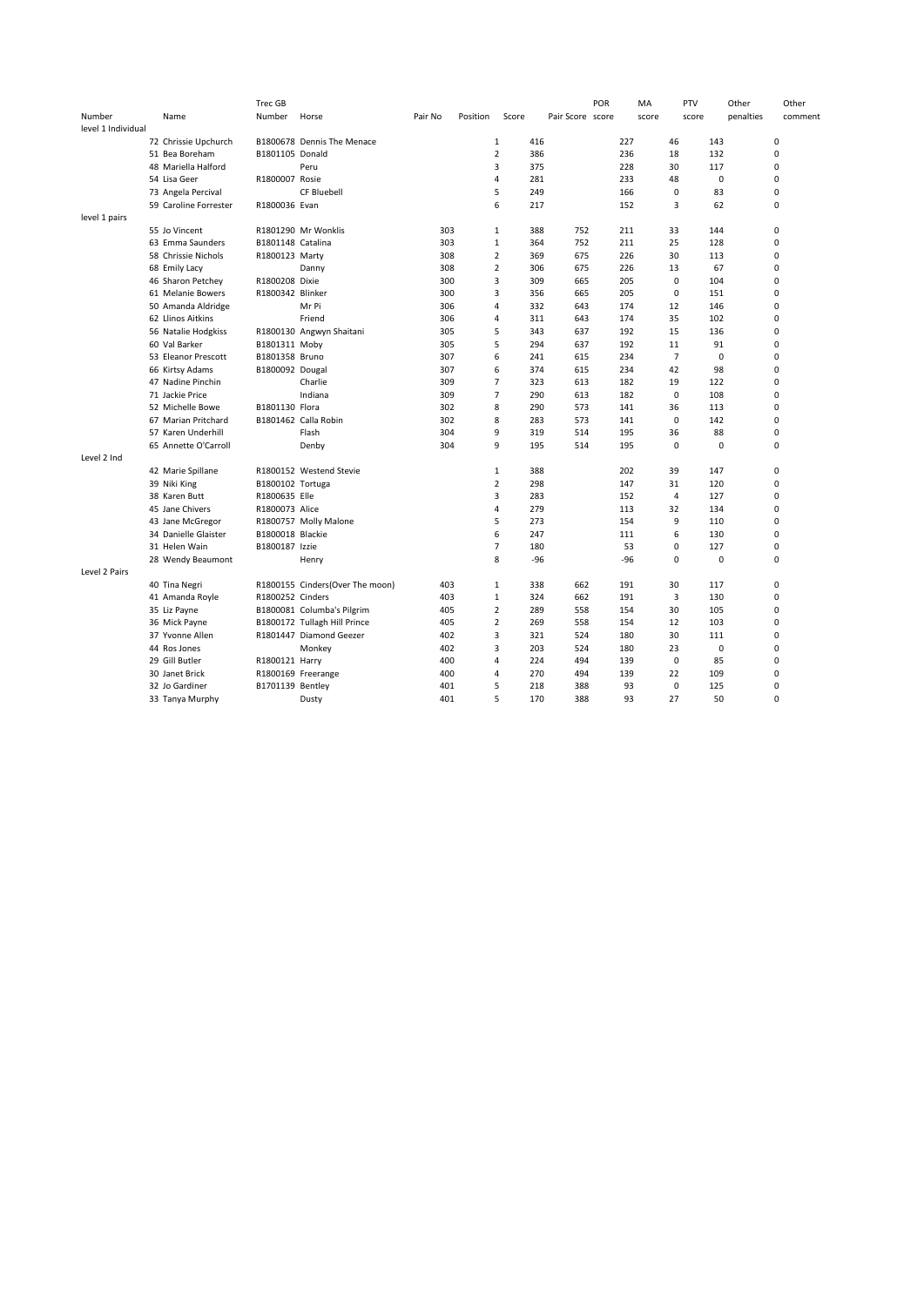|                    |                       | Trec GB           |                                 |         |          |                |       |                  | POR | ΜA    | PTV            | Other       | Other       |
|--------------------|-----------------------|-------------------|---------------------------------|---------|----------|----------------|-------|------------------|-----|-------|----------------|-------------|-------------|
| Number             | Name                  | Number            | Horse                           | Pair No | Position | Score          |       | Pair Score score |     | score | score          | penalties   | comment     |
| level 1 Individual |                       |                   |                                 |         |          |                |       |                  |     |       |                |             |             |
|                    | 72 Chrissie Upchurch  |                   | B1800678 Dennis The Menace      |         |          | $\mathbf{1}$   | 416   |                  |     | 227   | 46             | 143         | 0           |
|                    | 51 Bea Boreham        | B1801105 Donald   |                                 |         |          | $\overline{2}$ | 386   |                  |     | 236   | 18             | 132         | $\mathbf 0$ |
|                    | 48 Mariella Halford   |                   | Peru                            |         |          | 3              | 375   |                  |     | 228   | 30             | 117         | 0           |
|                    | 54 Lisa Geer          | R1800007 Rosie    |                                 |         |          | 4              | 281   |                  |     | 233   | 48             | 0           | $\mathbf 0$ |
|                    | 73 Angela Percival    |                   | <b>CF Bluebell</b>              |         |          | 5              | 249   |                  |     | 166   | $\mathbf 0$    | 83          | $\mathbf 0$ |
|                    | 59 Caroline Forrester | R1800036 Evan     |                                 |         |          | 6              | 217   |                  |     | 152   | 3              | 62          | $\mathbf 0$ |
| level 1 pairs      |                       |                   |                                 |         |          |                |       |                  |     |       |                |             |             |
|                    | 55 Jo Vincent         |                   | R1801290 Mr Wonklis             | 303     |          | $\mathbf{1}$   | 388   | 752              |     | 211   | 33             | 144         | $\mathbf 0$ |
|                    | 63 Emma Saunders      | B1801148 Catalina |                                 | 303     |          | $\mathbf{1}$   | 364   | 752              |     | 211   | 25             | 128         | $\mathbf 0$ |
|                    | 58 Chrissie Nichols   | R1800123 Marty    |                                 | 308     |          | $\overline{2}$ | 369   | 675              |     | 226   | 30             | 113         | 0           |
|                    | 68 Emily Lacy         |                   | Danny                           | 308     |          | $\overline{2}$ | 306   | 675              |     | 226   | 13             | 67          | $\mathbf 0$ |
|                    | 46 Sharon Petchey     | R1800208 Dixie    |                                 | 300     |          | 3              | 309   | 665              |     | 205   | 0              | 104         | $\mathbf 0$ |
|                    | 61 Melanie Bowers     | R1800342 Blinker  |                                 | 300     |          | 3              | 356   | 665              |     | 205   | 0              | 151         | $\mathbf 0$ |
|                    |                       |                   | Mr Pi                           | 306     |          | 4              |       | 643              |     | 174   | 12             | 146         | $\mathbf 0$ |
|                    | 50 Amanda Aldridge    |                   |                                 |         |          |                | 332   |                  |     |       |                |             |             |
|                    | 62 Llinos Aitkins     |                   | Friend                          | 306     |          | 4              | 311   | 643              |     | 174   | 35             | 102         | $\mathbf 0$ |
|                    | 56 Natalie Hodgkiss   |                   | R1800130 Angwyn Shaitani        | 305     |          | 5              | 343   | 637              |     | 192   | 15             | 136         | $\mathbf 0$ |
|                    | 60 Val Barker         | B1801311 Moby     |                                 | 305     |          | 5              | 294   | 637              |     | 192   | 11             | 91          | $\mathbf 0$ |
|                    | 53 Eleanor Prescott   | B1801358 Bruno    |                                 | 307     |          | 6              | 241   | 615              |     | 234   | $\overline{7}$ | 0           | $\mathbf 0$ |
|                    | 66 Kirtsy Adams       | B1800092 Dougal   |                                 | 307     |          | 6              | 374   | 615              |     | 234   | 42             | 98          | $\mathbf 0$ |
|                    | 47 Nadine Pinchin     |                   | Charlie                         | 309     |          | $\overline{7}$ | 323   | 613              |     | 182   | 19             | 122         | $\mathbf 0$ |
|                    | 71 Jackie Price       |                   | Indiana                         | 309     |          | $\overline{7}$ | 290   | 613              |     | 182   | $\mathbf 0$    | 108         | $\mathbf 0$ |
|                    | 52 Michelle Bowe      | B1801130 Flora    |                                 | 302     |          | 8              | 290   | 573              |     | 141   | 36             | 113         | 0           |
|                    | 67 Marian Pritchard   |                   | B1801462 Calla Robin            | 302     |          | 8              | 283   | 573              |     | 141   | $\mathbf 0$    | 142         | $\mathbf 0$ |
|                    | 57 Karen Underhill    |                   | Flash                           | 304     |          | 9              | 319   | 514              |     | 195   | 36             | 88          | $\mathbf 0$ |
|                    | 65 Annette O'Carroll  |                   | Denby                           | 304     |          | 9              | 195   | 514              |     | 195   | 0              | $\mathbf 0$ | $\mathbf 0$ |
| Level 2 Ind        |                       |                   |                                 |         |          |                |       |                  |     |       |                |             |             |
|                    | 42 Marie Spillane     |                   | R1800152 Westend Stevie         |         |          | $\mathbf{1}$   | 388   |                  |     | 202   | 39             | 147         | $\mathbf 0$ |
|                    | 39 Niki King          | B1800102 Tortuga  |                                 |         |          | $\overline{2}$ | 298   |                  |     | 147   | 31             | 120         | $\mathbf 0$ |
|                    | 38 Karen Butt         | R1800635 Elle     |                                 |         |          | 3              | 283   |                  |     | 152   | 4              | 127         | 0           |
|                    | 45 Jane Chivers       | R1800073 Alice    |                                 |         |          | $\overline{4}$ | 279   |                  |     | 113   | 32             | 134         | $\mathbf 0$ |
|                    | 43 Jane McGregor      |                   | R1800757 Molly Malone           |         |          | 5              | 273   |                  |     | 154   | 9              | 110         | $\mathbf 0$ |
|                    | 34 Danielle Glaister  | B1800018 Blackie  |                                 |         |          | 6              | 247   |                  |     | 111   | 6              | 130         | $\mathbf 0$ |
|                    | 31 Helen Wain         | B1800187 Izzie    |                                 |         |          | $\overline{7}$ | 180   |                  |     | 53    | 0              | 127         | $\mathbf 0$ |
|                    | 28 Wendy Beaumont     |                   | Henry                           |         |          | 8              | $-96$ |                  |     | $-96$ | 0              | 0           | $\mathbf 0$ |
| Level 2 Pairs      |                       |                   |                                 |         |          |                |       |                  |     |       |                |             |             |
|                    | 40 Tina Negri         |                   | R1800155 Cinders(Over The moon) | 403     |          | $\mathbf{1}$   | 338   | 662              |     | 191   | 30             | 117         | $\mathbf 0$ |
|                    | 41 Amanda Royle       | R1800252 Cinders  |                                 | 403     |          | $\mathbf{1}$   | 324   | 662              |     | 191   | 3              | 130         | $\mathbf 0$ |
|                    | 35 Liz Payne          |                   | B1800081 Columba's Pilgrim      | 405     |          | $\overline{2}$ | 289   | 558              |     | 154   | 30             | 105         | 0           |
|                    |                       |                   | B1800172 Tullagh Hill Prince    | 405     |          | $\overline{2}$ | 269   | 558              |     | 154   | 12             | 103         | $\mathbf 0$ |
|                    | 36 Mick Payne         |                   |                                 |         |          |                |       |                  |     |       |                |             |             |
|                    | 37 Yvonne Allen       |                   | R1801447 Diamond Geezer         | 402     |          | 3              | 321   | 524              |     | 180   | 30             | 111         | 0           |
|                    | 44 Ros Jones          |                   | Monkey                          | 402     |          | 3              | 203   | 524              |     | 180   | 23             | 0           | 0           |
|                    | 29 Gill Butler        | R1800121 Harry    |                                 | 400     |          | $\overline{4}$ | 224   | 494              |     | 139   | $\mathbf 0$    | 85          | $\mathbf 0$ |
|                    | 30 Janet Brick        |                   | R1800169 Freerange              | 400     |          | 4              | 270   | 494              |     | 139   | 22             | 109         | $\mathbf 0$ |
|                    | 32 Jo Gardiner        | B1701139 Bentley  |                                 | 401     |          | 5              | 218   | 388              |     | 93    | 0              | 125         | $\mathbf 0$ |
|                    | 33 Tanya Murphy       |                   | Dusty                           | 401     |          | 5              | 170   | 388              |     | 93    | 27             | 50          | $\Omega$    |